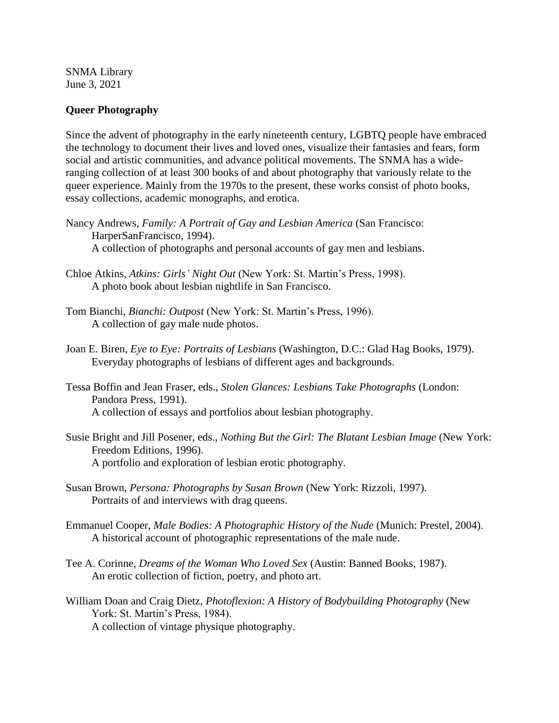SNMA Library June 3, 2021

## **Queer Photography**

Since the advent of photography in the early nineteenth century, LGBTQ people have embraced the technology to document their lives and loved ones, visualize their fantasies and fears, form social and artistic communities, and advance political movements. The SNMA has a wideranging collection of at least 300 books of and about photography that variously relate to the queer experience. Mainly from the 1970s to the present, these works consist of photo books, essay collections, academic monographs, and erotica.

- Nancy Andrews, *Family: A Portrait of Gay and Lesbian America* (San Francisco: HarperSanFrancisco, 1994). A collection of photographs and personal accounts of gay men and lesbians.
- Chloe Atkins, *Atkins: Girls' Night Out* (New York: St. Martin's Press, 1998). A photo book about lesbian nightlife in San Francisco.
- Tom Bianchi, *Bianchi: Outpost* (New York: St. Martin's Press, 1996). A collection of gay male nude photos.
- Joan E. Biren, *Eye to Eye: Portraits of Lesbians* (Washington, D.C.: Glad Hag Books, 1979). Everyday photographs of lesbians of different ages and backgrounds.
- Tessa Boffin and Jean Fraser, eds., *Stolen Glances: Lesbians Take Photographs* (London: Pandora Press, 1991). A collection of essays and portfolios about lesbian photography.
- Susie Bright and Jill Posener, eds., *Nothing But the Girl: The Blatant Lesbian Image* (New York: Freedom Editions, 1996). A portfolio and exploration of lesbian erotic photography.
- Susan Brown, *Persona: Photographs by Susan Brown* (New York: Rizzoli, 1997). Portraits of and interviews with drag queens.
- Emmanuel Cooper, *Male Bodies: A Photographic History of the Nude* (Munich: Prestel, 2004). A historical account of photographic representations of the male nude.
- Tee A. Corinne, *Dreams of the Woman Who Loved Sex* (Austin: Banned Books, 1987). An erotic collection of fiction, poetry, and photo art.
- William Doan and Craig Dietz, *Photoflexion: A History of Bodybuilding Photography* (New York: St. Martin's Press, 1984). A collection of vintage physique photography.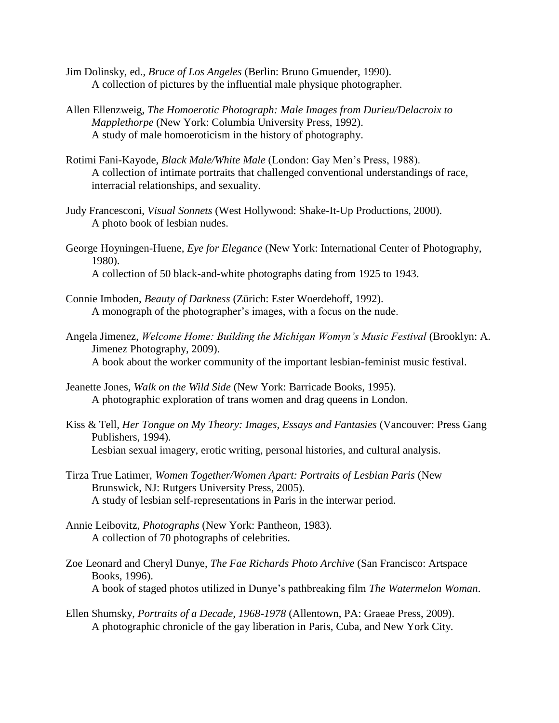- Jim Dolinsky, ed., *Bruce of Los Angeles* (Berlin: Bruno Gmuender, 1990). A collection of pictures by the influential male physique photographer.
- Allen Ellenzweig, *The Homoerotic Photograph: Male Images from Durieu/Delacroix to Mapplethorpe* (New York: Columbia University Press, 1992). A study of male homoeroticism in the history of photography.
- Rotimi Fani-Kayode, *Black Male/White Male* (London: Gay Men's Press, 1988). A collection of intimate portraits that challenged conventional understandings of race, interracial relationships, and sexuality.
- Judy Francesconi, *Visual Sonnets* (West Hollywood: Shake-It-Up Productions, 2000). A photo book of lesbian nudes.
- George Hoyningen-Huene, *Eye for Elegance* (New York: International Center of Photography, 1980). A collection of 50 black-and-white photographs dating from 1925 to 1943.
- Connie Imboden, *Beauty of Darkness* (Zürich: Ester Woerdehoff, 1992). A monograph of the photographer's images, with a focus on the nude.
- Angela Jimenez, *Welcome Home: Building the Michigan Womyn's Music Festival* (Brooklyn: A. Jimenez Photography, 2009). A book about the worker community of the important lesbian-feminist music festival.
- Jeanette Jones, *Walk on the Wild Side* (New York: Barricade Books, 1995). A photographic exploration of trans women and drag queens in London.
- Kiss & Tell, *Her Tongue on My Theory: Images, Essays and Fantasies* (Vancouver: Press Gang Publishers, 1994). Lesbian sexual imagery, erotic writing, personal histories, and cultural analysis.
- Tirza True Latimer, *Women Together/Women Apart: Portraits of Lesbian Paris* (New Brunswick, NJ: Rutgers University Press, 2005). A study of lesbian self-representations in Paris in the interwar period.
- Annie Leibovitz, *Photographs* (New York: Pantheon, 1983). A collection of 70 photographs of celebrities.
- Zoe Leonard and Cheryl Dunye, *The Fae Richards Photo Archive* (San Francisco: Artspace Books, 1996). A book of staged photos utilized in Dunye's pathbreaking film *The Watermelon Woman*.
- Ellen Shumsky, *Portraits of a Decade, 1968-1978* (Allentown, PA: Graeae Press, 2009). A photographic chronicle of the gay liberation in Paris, Cuba, and New York City.